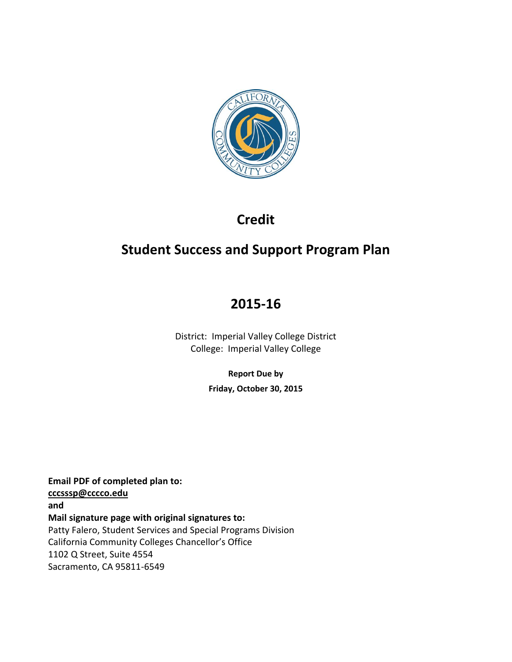

# **Credit**

# **Student Success and Support Program Plan**

# **2015-16**

District: Imperial Valley College District College: Imperial Valley College

**Report Due by**

**Friday, October 30, 2015**

**Email PDF of completed plan to: [cccsssp@cccco.edu](mailto:cccsssp@cccco.edu) and Mail signature page with original signatures to:** Patty Falero, Student Services and Special Programs Division California Community Colleges Chancellor's Office 1102 Q Street, Suite 4554 Sacramento, CA 95811-6549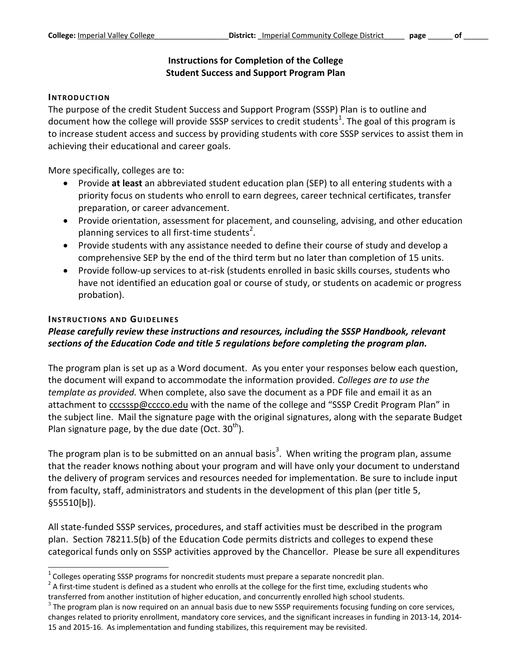#### **Instructions for Completion of the College Student Success and Support Program Plan**

#### **INTRODUCTION**

The purpose of the credit Student Success and Support Program (SSSP) Plan is to outline and document how the college will provide SSSP services to credit students<sup>1</sup>. The goal of this program is to increase student access and success by providing students with core SSSP services to assist them in achieving their educational and career goals.

More specifically, colleges are to:

- Provide **at least** an abbreviated student education plan (SEP) to all entering students with a priority focus on students who enroll to earn degrees, career technical certificates, transfer preparation, or career advancement.
- Provide orientation, assessment for placement, and counseling, advising, and other education planning services to all first-time students<sup>2</sup>.
- Provide students with any assistance needed to define their course of study and develop a comprehensive SEP by the end of the third term but no later than completion of 15 units.
- Provide follow-up services to at-risk (students enrolled in basic skills courses, students who have not identified an education goal or course of study, or students on academic or progress probation).

#### **INSTRUCTIONS AND GUIDELINES**

l

## *Please carefully review these instructions and resources, including the SSSP Handbook, relevant sections of the Education Code and title 5 regulations before completing the program plan.*

The program plan is set up as a Word document. As you enter your responses below each question, the document will expand to accommodate the information provided. *Colleges are to use the template as provided.* When complete, also save the document as a PDF file and email it as an attachment to [cccsssp@cccco.edu](mailto:cccsssp@cccco.edu) with the name of the college and "SSSP Credit Program Plan" in the subject line. Mail the signature page with the original signatures, along with the separate Budget Plan signature page, by the due date (Oct.  $30<sup>th</sup>$ ).

The program plan is to be submitted on an annual basis<sup>3</sup>. When writing the program plan, assume that the reader knows nothing about your program and will have only your document to understand the delivery of program services and resources needed for implementation. Be sure to include input from faculty, staff, administrators and students in the development of this plan (per title 5, §55510[b]).

All state-funded SSSP services, procedures, and staff activities must be described in the program plan. Section 78211.5(b) of the Education Code permits districts and colleges to expend these categorical funds only on SSSP activities approved by the Chancellor. Please be sure all expenditures

 $1$  Colleges operating SSSP programs for noncredit students must prepare a separate noncredit plan.

 $2$  A first-time student is defined as a student who enrolls at the college for the first time, excluding students who transferred from another institution of higher education, and concurrently enrolled high school students.

 $^3$  The program plan is now required on an annual basis due to new SSSP requirements focusing funding on core services, changes related to priority enrollment, mandatory core services, and the significant increases in funding in 2013-14, 2014- 15 and 2015-16. As implementation and funding stabilizes, this requirement may be revisited.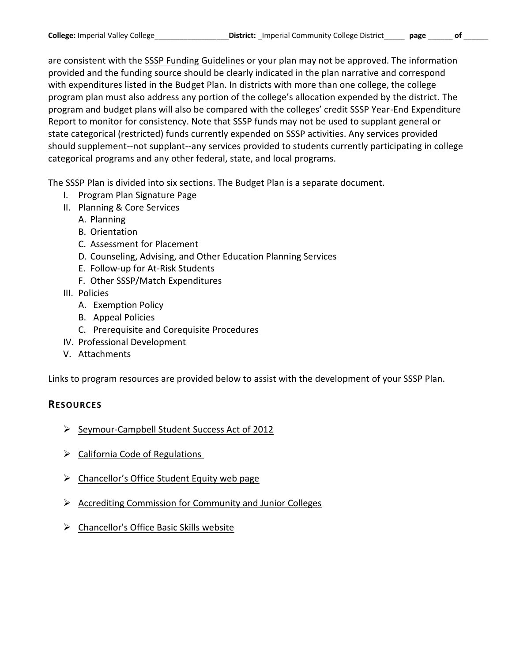are consistent with the [SSSP Funding Guidelines](http://extranet.cccco.edu/Portals/1/SSSP/Matriculation/SSSP%20Handbook%202014/Chapter%204%20-%20SSSP%20Funding%20Guidelines.pdf) or your plan may not be approved. The information provided and the funding source should be clearly indicated in the plan narrative and correspond with expenditures listed in the Budget Plan. In districts with more than one college, the college program plan must also address any portion of the college's allocation expended by the district. The program and budget plans will also be compared with the colleges' credit SSSP Year-End Expenditure Report to monitor for consistency. Note that SSSP funds may not be used to supplant general or state categorical (restricted) funds currently expended on SSSP activities. Any services provided should supplement--not supplant--any services provided to students currently participating in college categorical programs and any other federal, state, and local programs.

The SSSP Plan is divided into six sections. The Budget Plan is a separate document.

- I. Program Plan Signature Page
- II. Planning & Core Services
	- A. Planning
	- B. Orientation
	- C. Assessment for Placement
	- D. Counseling, Advising, and Other Education Planning Services
	- E. Follow-up for At-Risk Students
	- F. Other SSSP/Match Expenditures
- III. Policies
	- A. Exemption Policy
	- B. Appeal Policies
	- C. Prerequisite and Corequisite Procedures
- IV. Professional Development
- V. Attachments

Links to program resources are provided below to assist with the development of your SSSP Plan.

### **RESOURCES**

- $\triangleright$  [Seymour-Campbell Student Success Act of 2012](http://www.leginfo.ca.gov/pub/11-12/bill/sen/sb_1451-1500/sb_1456_bill_20120927_chaptered.pdf)
- $\triangleright$  California Code of Regulations
- $\triangleright$  [Chancellor's Office Student Equity web page](http://extranet.cccco.edu/Divisions/StudentServices/StudentEquity.aspx)
- $\triangleright$  [Accrediting Commission for Community and Junior Colleges](http://www.accjc.org/)
- > [Chancellor's Office Basic Skills website](http://extranet.cccco.edu/Divisions/AcademicAffairs/BasicSkillsEnglishasaSecondLanguage.aspx)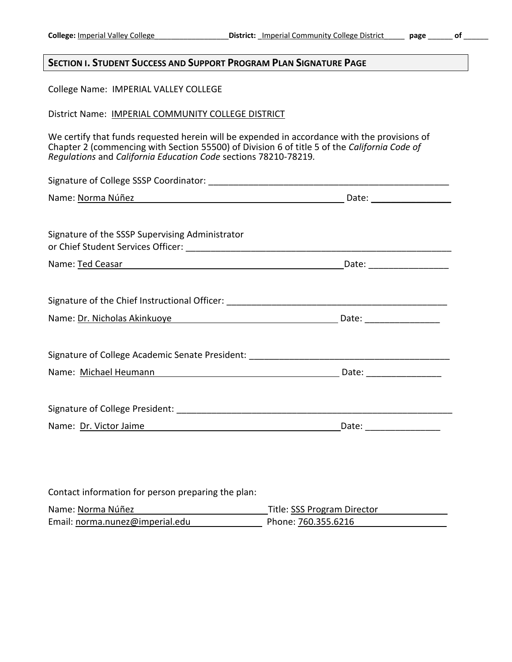#### **SECTION I. STUDENT SUCCESS AND SUPPORT PROGRAM PLAN SIGNATURE PAGE**

College Name: IMPERIAL VALLEY COLLEGE

District Name: IMPERIAL COMMUNITY COLLEGE DISTRICT

We certify that funds requested herein will be expended in accordance with the provisions of Chapter 2 (commencing with Section 55500) of Division 6 of title 5 of the *California Code of Regulations* and *California Education Code* sections 78210-78219*.*

| Name: Norma Núñez de la contrata de la contrata de la contrata de la contrata de la contrata de la contrata de |  |
|----------------------------------------------------------------------------------------------------------------|--|
|                                                                                                                |  |
| Signature of the SSSP Supervising Administrator                                                                |  |
| Name: Ted Ceasar Manual Manual Manual Manual Manual Date: Manual Date: Manual Manual Manual Manual Manual Manu |  |
|                                                                                                                |  |
|                                                                                                                |  |
| Name: Dr. Nicholas Akinkuoye Manuel Allen Barrett Barrett Manuel Date: Manuel Date:                            |  |
|                                                                                                                |  |
| Signature of College Academic Senate President: _________________________________                              |  |
| Name: Michael Heumann Manuel Allen and Manuel Manuel Allen Bate: Michael Meumann                               |  |
|                                                                                                                |  |
|                                                                                                                |  |
| Name: Dr. Victor Jaime and Contact Contact Date: Contact Date: Contact Dr. Victor Jaime                        |  |
|                                                                                                                |  |
|                                                                                                                |  |
|                                                                                                                |  |
| Contact information for person preparing the plan:                                                             |  |

| Name: Norma Núñez               | Title: SSS Program Director |
|---------------------------------|-----------------------------|
| Email: norma.nunez@imperial.edu | Phone: 760.355.6216         |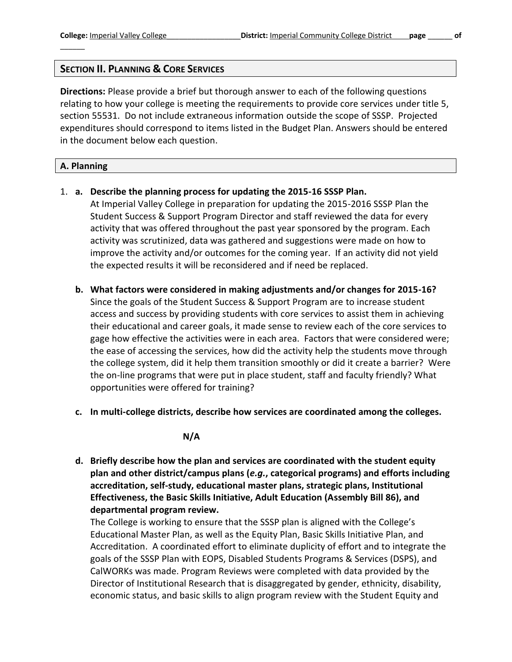**Directions:** Please provide a brief but thorough answer to each of the following questions relating to how your college is meeting the requirements to provide core services under title 5, section 55531. Do not include extraneous information outside the scope of SSSP. Projected expenditures should correspond to items listed in the Budget Plan. Answers should be entered in the document below each question.

#### **A. Planning**

 $\overline{\phantom{a}}$ 

1. **a. Describe the planning process for updating the 2015-16 SSSP Plan.**

At Imperial Valley College in preparation for updating the 2015-2016 SSSP Plan the Student Success & Support Program Director and staff reviewed the data for every activity that was offered throughout the past year sponsored by the program. Each activity was scrutinized, data was gathered and suggestions were made on how to improve the activity and/or outcomes for the coming year. If an activity did not yield the expected results it will be reconsidered and if need be replaced.

- **b. What factors were considered in making adjustments and/or changes for 2015-16?** Since the goals of the Student Success & Support Program are to increase student access and success by providing students with core services to assist them in achieving their educational and career goals, it made sense to review each of the core services to gage how effective the activities were in each area. Factors that were considered were; the ease of accessing the services, how did the activity help the students move through the college system, did it help them transition smoothly or did it create a barrier? Were the on-line programs that were put in place student, staff and faculty friendly? What opportunities were offered for training?
- **c. In multi-college districts, describe how services are coordinated among the colleges.**

#### **N/A**

**d. Briefly describe how the plan and services are coordinated with the student equity plan and other district/campus plans (***e.g.***, categorical programs) and efforts including accreditation, self-study, educational master plans, strategic plans, Institutional Effectiveness, the Basic Skills Initiative, Adult Education (Assembly Bill 86), and departmental program review.**

The College is working to ensure that the SSSP plan is aligned with the College's Educational Master Plan, as well as the Equity Plan, Basic Skills Initiative Plan, and Accreditation. A coordinated effort to eliminate duplicity of effort and to integrate the goals of the SSSP Plan with EOPS, Disabled Students Programs & Services (DSPS), and CalWORKs was made. Program Reviews were completed with data provided by the Director of Institutional Research that is disaggregated by gender, ethnicity, disability, economic status, and basic skills to align program review with the Student Equity and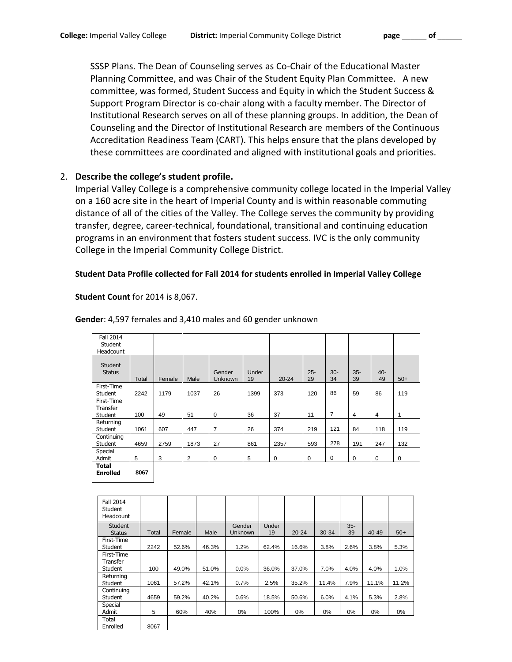SSSP Plans. The Dean of Counseling serves as Co-Chair of the Educational Master Planning Committee, and was Chair of the Student Equity Plan Committee. A new committee, was formed, Student Success and Equity in which the Student Success & Support Program Director is co-chair along with a faculty member. The Director of Institutional Research serves on all of these planning groups. In addition, the Dean of Counseling and the Director of Institutional Research are members of the Continuous Accreditation Readiness Team (CART). This helps ensure that the plans developed by these committees are coordinated and aligned with institutional goals and priorities.

#### 2. **Describe the college's student profile.**

Imperial Valley College is a comprehensive community college located in the Imperial Valley on a 160 acre site in the heart of Imperial County and is within reasonable commuting distance of all of the cities of the Valley. The College serves the community by providing transfer, degree, career-technical, foundational, transitional and continuing education programs in an environment that fosters student success. IVC is the only community College in the Imperial Community College District.

#### **Student Data Profile collected for Fall 2014 for students enrolled in Imperial Valley College**

#### **Student Count** for 2014 is 8,067.

| <b>Fall 2014</b><br>Student<br>Headcount |       |        |      |                   |             |           |              |                |              |              |             |
|------------------------------------------|-------|--------|------|-------------------|-------------|-----------|--------------|----------------|--------------|--------------|-------------|
| <b>Student</b><br><b>Status</b>          | Total | Female | Male | Gender<br>Unknown | Under<br>19 | $20 - 24$ | $25 -$<br>29 | $30 -$<br>34   | $35 -$<br>39 | $40 -$<br>49 | $50+$       |
| First-Time<br>Student                    | 2242  | 1179   | 1037 | 26                | 1399        | 373       | 120          | 86             | 59           | 86           | 119         |
| First-Time<br>Transfer<br>Student        | 100   | 49     | 51   | 0                 | 36          | 37        | 11           | $\overline{7}$ | 4            | 4            | 1           |
| Returning<br>Student                     | 1061  | 607    | 447  | 7                 | 26          | 374       | 219          | 121            | 84           | 118          | 119         |
| Continuing<br>Student                    | 4659  | 2759   | 1873 | 27                | 861         | 2357      | 593          | 278            | 191          | 247          | 132         |
| Special<br>Admit                         | 5     | 3      | 2    | 0                 | 5           | 0         | 0            | 0              | $\mathbf 0$  | 0            | $\mathbf 0$ |
| <b>Total</b><br><b>Enrolled</b>          | 8067  |        |      |                   |             |           |              |                |              |              |             |

#### **Gender**: 4,597 females and 3,410 males and 60 gender unknown

| <b>Fall 2014</b><br>Student<br>Headcount |       |        |       |                   |             |           |       |              |       |       |
|------------------------------------------|-------|--------|-------|-------------------|-------------|-----------|-------|--------------|-------|-------|
| <b>Student</b><br><b>Status</b>          | Total | Female | Male  | Gender<br>Unknown | Under<br>19 | $20 - 24$ | 30-34 | $35 -$<br>39 | 40-49 | $50+$ |
| First-Time<br>Student                    | 2242  | 52.6%  | 46.3% | 1.2%              | 62.4%       | 16.6%     | 3.8%  | 2.6%         | 3.8%  | 5.3%  |
| First-Time<br>Transfer<br>Student        | 100   | 49.0%  | 51.0% | 0.0%              | 36.0%       | 37.0%     | 7.0%  | 4.0%         | 4.0%  | 1.0%  |
| Returning<br>Student                     | 1061  | 57.2%  | 42.1% | 0.7%              | 2.5%        | 35.2%     | 11.4% | 7.9%         | 11.1% | 11.2% |
| Continuing<br>Student                    | 4659  | 59.2%  | 40.2% | 0.6%              | 18.5%       | 50.6%     | 6.0%  | 4.1%         | 5.3%  | 2.8%  |
| Special<br>Admit                         | 5     | 60%    | 40%   | 0%                | 100%        | 0%        | 0%    | 0%           | $0\%$ | $0\%$ |
| Total<br>Enrolled                        | 8067  |        |       |                   |             |           |       |              |       |       |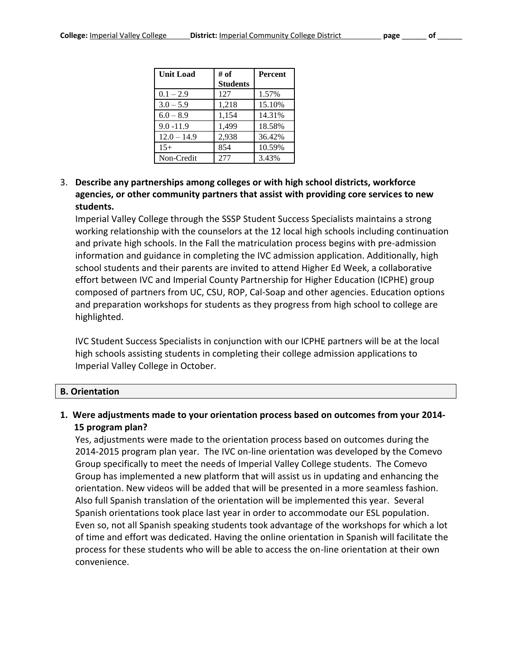| <b>Unit Load</b> | # of            | <b>Percent</b> |
|------------------|-----------------|----------------|
|                  | <b>Students</b> |                |
| $0.1 - 2.9$      | 127             | 1.57%          |
| $3.0 - 5.9$      | 1,218           | 15.10%         |
| $6.0 - 8.9$      | 1,154           | 14.31%         |
| $9.0 - 11.9$     | 1.499           | 18.58%         |
| $12.0 - 14.9$    | 2,938           | 36.42%         |
| $15+$            | 854             | 10.59%         |
| Non-Credit       | 277             | 3.43%          |

3. **Describe any partnerships among colleges or with high school districts, workforce agencies, or other community partners that assist with providing core services to new students.**

Imperial Valley College through the SSSP Student Success Specialists maintains a strong working relationship with the counselors at the 12 local high schools including continuation and private high schools. In the Fall the matriculation process begins with pre-admission information and guidance in completing the IVC admission application. Additionally, high school students and their parents are invited to attend Higher Ed Week, a collaborative effort between IVC and Imperial County Partnership for Higher Education (ICPHE) group composed of partners from UC, CSU, ROP, Cal-Soap and other agencies. Education options and preparation workshops for students as they progress from high school to college are highlighted.

IVC Student Success Specialists in conjunction with our ICPHE partners will be at the local high schools assisting students in completing their college admission applications to Imperial Valley College in October.

#### **B. Orientation**

**1. Were adjustments made to your orientation process based on outcomes from your 2014- 15 program plan?**

Yes, adjustments were made to the orientation process based on outcomes during the 2014-2015 program plan year. The IVC on-line orientation was developed by the Comevo Group specifically to meet the needs of Imperial Valley College students. The Comevo Group has implemented a new platform that will assist us in updating and enhancing the orientation. New videos will be added that will be presented in a more seamless fashion. Also full Spanish translation of the orientation will be implemented this year. Several Spanish orientations took place last year in order to accommodate our ESL population. Even so, not all Spanish speaking students took advantage of the workshops for which a lot of time and effort was dedicated. Having the online orientation in Spanish will facilitate the process for these students who will be able to access the on-line orientation at their own convenience.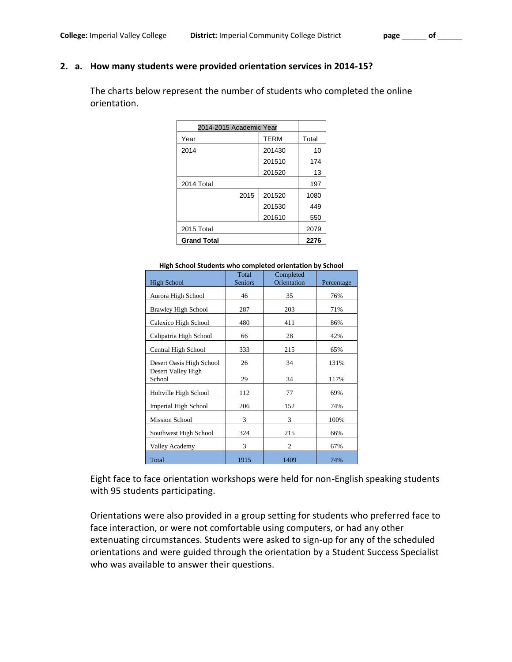# **2. a. How many students were provided orientation services in 2014-15?**

The charts below represent the number of students who completed the online orientation.

| 2014-2015 Academic Year |             |       |
|-------------------------|-------------|-------|
| Year                    | <b>TERM</b> | Total |
| 2014                    | 201430      | 10    |
|                         | 201510      | 174   |
|                         | 201520      | 13    |
| 2014 Total              |             | 197   |
| 2015                    | 201520      | 1080  |
|                         | 201530      | 449   |
|                         | 201610      | 550   |
| 2015 Total              |             | 2079  |
| <b>Grand Total</b>      | 2276        |       |

| <b>High School</b>         | Total<br><b>Seniors</b> | Completed<br>Orientation | Percentage |
|----------------------------|-------------------------|--------------------------|------------|
|                            |                         |                          |            |
| Aurora High School         | 46                      | 35                       | 76%        |
| <b>Brawley High School</b> | 287                     | 203                      | 71%        |
| Calexico High School       | 480                     | 411                      | 86%        |
| Calipatria High School     | 66                      | 28                       | 42%        |
| Central High School        | 333                     | 215                      | 65%        |
| Desert Oasis High School   | 26                      | 34                       | 131%       |
| Desert Valley High         |                         |                          |            |
| School                     | 29                      | 34                       | 117%       |
| Holtville High School      | 112                     | 77                       | 69%        |
| Imperial High School       | 206                     | 152                      | 74%        |
| <b>Mission School</b>      | 3                       | 3                        | 100%       |
| Southwest High School      | 324                     | 215                      | 66%        |
| Valley Academy             | 3                       | $\overline{2}$           | 67%        |
| Total                      | 1915                    | 1409                     | 74%        |

#### **High School Students who completed orientation by School**

Eight face to face orientation workshops were held for non-English speaking students with 95 students participating.

Orientations were also provided in a group setting for students who preferred face to face interaction, or were not comfortable using computers, or had any other extenuating circumstances. Students were asked to sign-up for any of the scheduled orientations and were guided through the orientation by a Student Success Specialist who was available to answer their questions.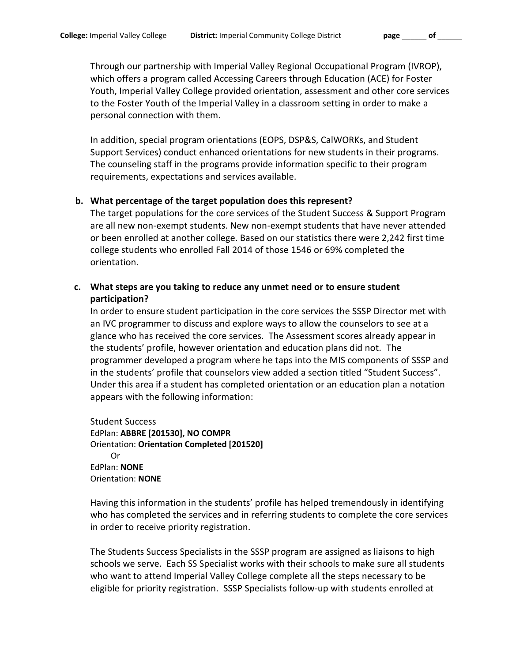Through our partnership with Imperial Valley Regional Occupational Program (IVROP), which offers a program called Accessing Careers through Education (ACE) for Foster Youth, Imperial Valley College provided orientation, assessment and other core services to the Foster Youth of the Imperial Valley in a classroom setting in order to make a personal connection with them.

In addition, special program orientations (EOPS, DSP&S, CalWORKs, and Student Support Services) conduct enhanced orientations for new students in their programs. The counseling staff in the programs provide information specific to their program requirements, expectations and services available.

#### **b. What percentage of the target population does this represent?**

The target populations for the core services of the Student Success & Support Program are all new non-exempt students. New non-exempt students that have never attended or been enrolled at another college. Based on our statistics there were 2,242 first time college students who enrolled Fall 2014 of those 1546 or 69% completed the orientation.

#### **c. What steps are you taking to reduce any unmet need or to ensure student participation?**

In order to ensure student participation in the core services the SSSP Director met with an IVC programmer to discuss and explore ways to allow the counselors to see at a glance who has received the core services. The Assessment scores already appear in the students' profile, however orientation and education plans did not. The programmer developed a program where he taps into the MIS components of SSSP and in the students' profile that counselors view added a section titled "Student Success". Under this area if a student has completed orientation or an education plan a notation appears with the following information:

Student Success EdPlan: **ABBRE [201530], NO COMPR** Orientation: **Orientation Completed [201520]** Or EdPlan: **NONE** Orientation: **NONE**

Having this information in the students' profile has helped tremendously in identifying who has completed the services and in referring students to complete the core services in order to receive priority registration.

The Students Success Specialists in the SSSP program are assigned as liaisons to high schools we serve. Each SS Specialist works with their schools to make sure all students who want to attend Imperial Valley College complete all the steps necessary to be eligible for priority registration. SSSP Specialists follow-up with students enrolled at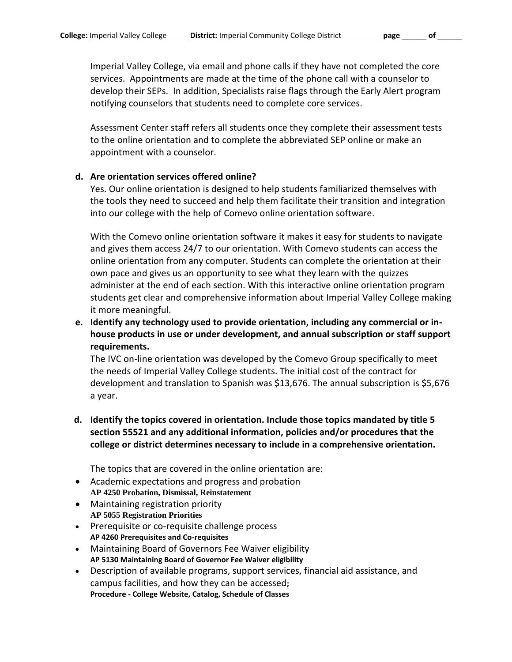Imperial Valley College, via email and phone calls if they have not completed the core services. Appointments are made at the time of the phone call with a counselor to develop their SEPs. In addition, Specialists raise flags through the Early Alert program notifying counselors that students need to complete core services.

Assessment Center staff refers all students once they complete their assessment tests to the online orientation and to complete the abbreviated SEP online or make an appointment with a counselor.

#### **d. Are orientation services offered online?**

Yes. Our online orientation is designed to help students familiarized themselves with the tools they need to succeed and help them facilitate their transition and integration into our college with the help of Comevo online orientation software.

With the Comevo online orientation software it makes it easy for students to navigate and gives them access 24/7 to our orientation. With Comevo students can access the online orientation from any computer. Students can complete the orientation at their own pace and gives us an opportunity to see what they learn with the quizzes administer at the end of each section. With this interactive online orientation program students get clear and comprehensive information about Imperial Valley College making it more meaningful.

**e. Identify any technology used to provide orientation, including any commercial or inhouse products in use or under development, and annual subscription or staff support requirements.** 

The IVC on-line orientation was developed by the Comevo Group specifically to meet the needs of Imperial Valley College students. The initial cost of the contract for development and translation to Spanish was \$13,676. The annual subscription is \$5,676 a year.

**d. Identify the topics covered in orientation. Include those topics mandated by title 5 section 55521 and any additional information, policies and/or procedures that the college or district determines necessary to include in a comprehensive orientation.**

The topics that are covered in the online orientation are:

- Academic expectations and progress and probation **AP 4250 Probation, Dismissal, Reinstatement**
- Maintaining registration priority **AP 5055 Registration Priorities**
- Prerequisite or co-requisite challenge process **AP 4260 Prerequisites and Co-requisites**
- Maintaining Board of Governors Fee Waiver eligibility **AP 5130 Maintaining Board of Governor Fee Waiver eligibility**
- Description of available programs, support services, financial aid assistance, and campus facilities, and how they can be accessed**; Procedure - College Website, Catalog, Schedule of Classes**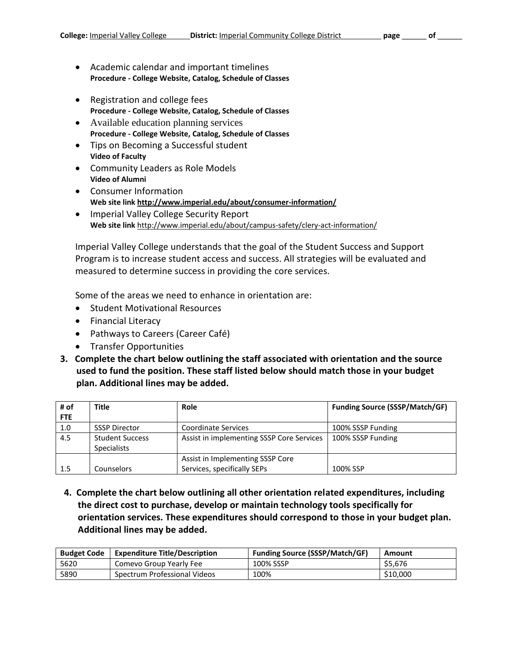- Academic calendar and important timelines **Procedure - College Website, Catalog, Schedule of Classes**
- Registration and college fees **Procedure - College Website, Catalog, Schedule of Classes**
- Available education planning services **Procedure - College Website, Catalog, Schedule of Classes**
- Tips on Becoming a Successful student **Video of Faculty**
- Community Leaders as Role Models **Video of Alumni**
- Consumer Information **Web site link <http://www.imperial.edu/about/consumer-information/>**
- Imperial Valley College Security Report **Web site link** <http://www.imperial.edu/about/campus-safety/clery-act-information/>

Imperial Valley College understands that the goal of the Student Success and Support Program is to increase student access and success. All strategies will be evaluated and measured to determine success in providing the core services.

Some of the areas we need to enhance in orientation are:

- **•** Student Motivational Resources
- Financial Literacy
- Pathways to Careers (Career Café)
- **•** Transfer Opportunities
- **3. Complete the chart below outlining the staff associated with orientation and the source used to fund the position. These staff listed below should match those in your budget plan. Additional lines may be added.**

| # of | Title                  | <b>Role</b>                               | <b>Funding Source (SSSP/Match/GF)</b> |
|------|------------------------|-------------------------------------------|---------------------------------------|
| FTE  |                        |                                           |                                       |
| 1.0  | <b>SSSP Director</b>   | <b>Coordinate Services</b>                | 100% SSSP Funding                     |
| 4.5  | <b>Student Success</b> | Assist in implementing SSSP Core Services | 100% SSSP Funding                     |
|      | <b>Specialists</b>     |                                           |                                       |
|      |                        | Assist in Implementing SSSP Core          |                                       |
| 1.5  | <b>Counselors</b>      | Services, specifically SEPs               | 100% SSP                              |

**4. Complete the chart below outlining all other orientation related expenditures, including the direct cost to purchase, develop or maintain technology tools specifically for orientation services. These expenditures should correspond to those in your budget plan. Additional lines may be added.** 

| <b>Budget Code</b> | <b>Expenditure Title/Description</b> | <b>Funding Source (SSSP/Match/GF)</b> | Amount   |
|--------------------|--------------------------------------|---------------------------------------|----------|
| 5620               | Comevo Group Yearly Fee              | 100% SSSP                             | \$5.676  |
| 5890               | Spectrum Professional Videos         | 100%                                  | \$10,000 |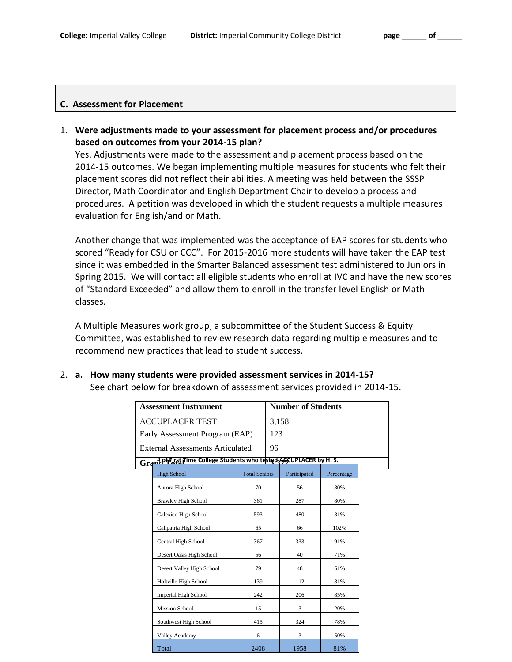#### **C. Assessment for Placement**

1. **Were adjustments made to your assessment for placement process and/or procedures based on outcomes from your 2014-15 plan?**

Yes. Adjustments were made to the assessment and placement process based on the 2014-15 outcomes. We began implementing multiple measures for students who felt their placement scores did not reflect their abilities. A meeting was held between the SSSP Director, Math Coordinator and English Department Chair to develop a process and procedures. A petition was developed in which the student requests a multiple measures evaluation for English/and or Math.

Another change that was implemented was the acceptance of EAP scores for students who scored "Ready for CSU or CCC". For 2015-2016 more students will have taken the EAP test since it was embedded in the Smarter Balanced assessment test administered to Juniors in Spring 2015. We will contact all eligible students who enroll at IVC and have the new scores of "Standard Exceeded" and allow them to enroll in the transfer level English or Math classes.

A Multiple Measures work group, a subcommittee of the Student Success & Equity Committee, was established to review research data regarding multiple measures and to recommend new practices that lead to student success.

#### 2. **a. How many students were provided assessment services in 2014-15?**

See chart below for breakdown of assessment services provided in 2014-15.

| <b>Assessment Instrument</b>                                     |                      |     | <b>Number of Students</b> |            |  |
|------------------------------------------------------------------|----------------------|-----|---------------------------|------------|--|
| <b>ACCUPLACER TEST</b>                                           |                      |     | 3,158                     |            |  |
| Early Assessment Program (EAP)                                   |                      | 123 |                           |            |  |
| <b>External Assessments Articulated</b>                          |                      | 96  |                           |            |  |
| Grantporting Time College Students who tested AGCUPLACER by H.S. |                      |     |                           |            |  |
| <b>High School</b>                                               | <b>Total Seniors</b> |     | Participated              | Percentage |  |
| Aurora High School                                               | 70                   |     | 56                        | 80%        |  |
| <b>Brawley High School</b>                                       | 361                  |     | 287                       | 80%        |  |
| Calexico High School                                             | 593                  |     | 480                       | 81%        |  |
| Calipatria High School                                           | 65                   |     | 66                        | 102%       |  |
| Central High School                                              | 367                  |     | 333                       | 91%        |  |
| Desert Oasis High School                                         | 56                   |     | 40                        | 71%        |  |
| Desert Valley High School                                        | 79                   |     | 48                        | 61%        |  |
| Holtville High School                                            | 139                  |     | 112                       | 81%        |  |
| <b>Imperial High School</b>                                      | 242                  |     | 206                       | 85%        |  |
| <b>Mission School</b>                                            | 15                   |     | 3                         | 20%        |  |
| Southwest High School                                            | 415                  |     | 324                       | 78%        |  |
| Valley Academy                                                   | 6                    |     | 3                         | 50%        |  |
| Total                                                            | 2408                 |     | 1958                      | 81%        |  |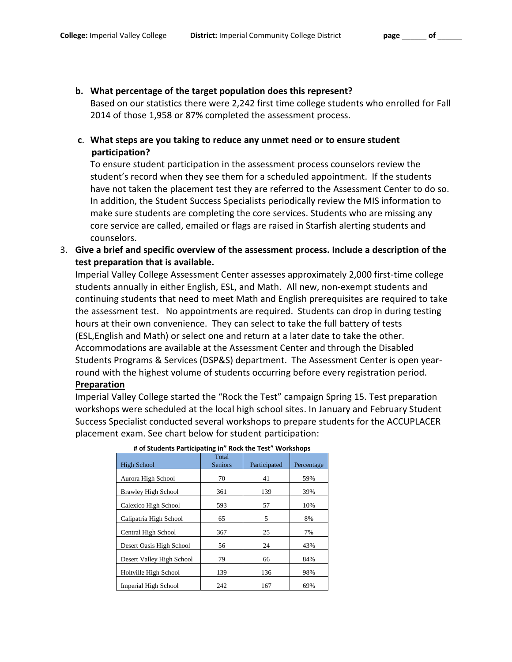#### **b. What percentage of the target population does this represent?**

Based on our statistics there were 2,242 first time college students who enrolled for Fall 2014 of those 1,958 or 87% completed the assessment process.

### **c**. **What steps are you taking to reduce any unmet need or to ensure student participation?**

To ensure student participation in the assessment process counselors review the student's record when they see them for a scheduled appointment. If the students have not taken the placement test they are referred to the Assessment Center to do so. In addition, the Student Success Specialists periodically review the MIS information to make sure students are completing the core services. Students who are missing any core service are called, emailed or flags are raised in Starfish alerting students and counselors.

3. **Give a brief and specific overview of the assessment process. Include a description of the test preparation that is available.** 

Imperial Valley College Assessment Center assesses approximately 2,000 first-time college students annually in either English, ESL, and Math. All new, non-exempt students and continuing students that need to meet Math and English prerequisites are required to take the assessment test. No appointments are required. Students can drop in during testing hours at their own convenience. They can select to take the full battery of tests (ESL,English and Math) or select one and return at a later date to take the other. Accommodations are available at the Assessment Center and through the Disabled Students Programs & Services (DSP&S) department. The Assessment Center is open yearround with the highest volume of students occurring before every registration period.

#### **Preparation**

Imperial Valley College started the "Rock the Test" campaign Spring 15. Test preparation workshops were scheduled at the local high school sites. In January and February Student Success Specialist conducted several workshops to prepare students for the ACCUPLACER placement exam. See chart below for student participation:

| # 01 Students Participating in Rock the rest Workshops |                         |              |            |  |  |  |
|--------------------------------------------------------|-------------------------|--------------|------------|--|--|--|
| <b>High School</b>                                     | Total<br><b>Seniors</b> | Participated | Percentage |  |  |  |
| Aurora High School                                     | 70                      | 41           | 59%        |  |  |  |
| <b>Brawley High School</b>                             | 361                     | 139          | 39%        |  |  |  |
| Calexico High School                                   | 593                     | 57           | 10%        |  |  |  |
| Calipatria High School                                 | 65                      | 5            | 8%         |  |  |  |
| Central High School                                    | 367                     | 25           | 7%         |  |  |  |
| Desert Oasis High School                               | 56                      | 24           | 43%        |  |  |  |
| Desert Valley High School                              | 79                      | 66           | 84%        |  |  |  |
| Holtville High School                                  | 139                     | 136          | 98%        |  |  |  |
| Imperial High School                                   | 242                     | 167          | 69%        |  |  |  |

**# of Students Participating in" Rock the Test" Workshops**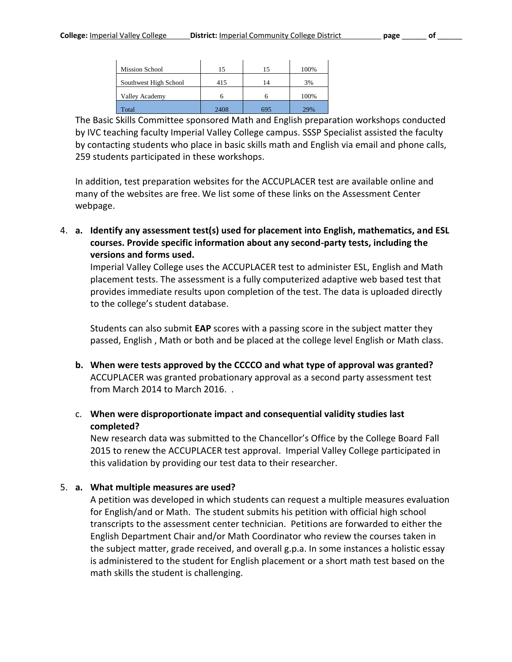| <b>Mission School</b> | 15   |                | 100% |
|-----------------------|------|----------------|------|
| Southwest High School | 415  | $\overline{4}$ | 3%   |
| Valley Academy        |      |                | 100% |
| Total                 | 2408 | 695            | 29%  |

The Basic Skills Committee sponsored Math and English preparation workshops conducted by IVC teaching faculty Imperial Valley College campus. SSSP Specialist assisted the faculty by contacting students who place in basic skills math and English via email and phone calls, 259 students participated in these workshops.

In addition, test preparation websites for the ACCUPLACER test are available online and many of the websites are free. We list some of these links on the Assessment Center webpage.

4. **a. Identify any assessment test(s) used for placement into English, mathematics, and ESL courses. Provide specific information about any second-party tests, including the versions and forms used.**

Imperial Valley College uses the ACCUPLACER test to administer ESL, English and Math placement tests. The assessment is a fully computerized adaptive web based test that provides immediate results upon completion of the test. The data is uploaded directly to the college's student database.

Students can also submit **EAP** scores with a passing score in the subject matter they passed, English , Math or both and be placed at the college level English or Math class.

- **b. When were tests approved by the CCCCO and what type of approval was granted?** ACCUPLACER was granted probationary approval as a second party assessment test from March 2014 to March 2016. .
- c. **When were disproportionate impact and consequential validity studies last completed?**

New research data was submitted to the Chancellor's Office by the College Board Fall 2015 to renew the ACCUPLACER test approval. Imperial Valley College participated in this validation by providing our test data to their researcher.

#### 5. **a. What multiple measures are used?**

A petition was developed in which students can request a multiple measures evaluation for English/and or Math. The student submits his petition with official high school transcripts to the assessment center technician. Petitions are forwarded to either the English Department Chair and/or Math Coordinator who review the courses taken in the subject matter, grade received, and overall g.p.a. In some instances a holistic essay is administered to the student for English placement or a short math test based on the math skills the student is challenging.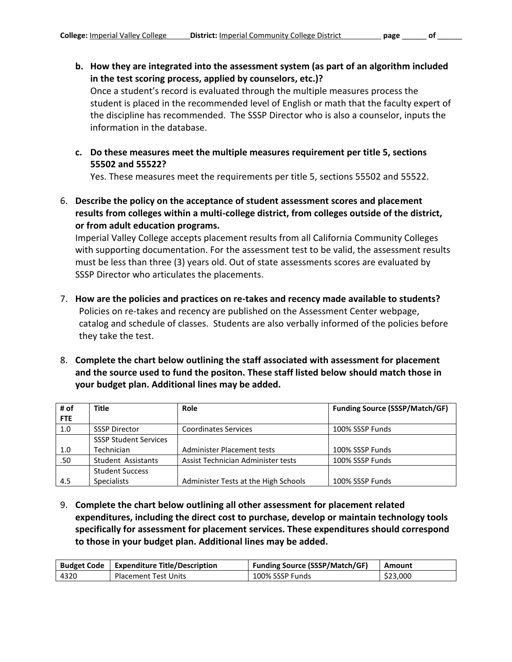- **b. How they are integrated into the assessment system (as part of an algorithm included in the test scoring process, applied by counselors, etc.)?**  Once a student's record is evaluated through the multiple measures process the student is placed in the recommended level of English or math that the faculty expert of the discipline has recommended. The SSSP Director who is also a counselor, inputs the information in the database.
- **c. Do these measures meet the multiple measures requirement per title 5, sections 55502 and 55522?**

Yes. These measures meet the requirements per title 5, sections 55502 and 55522.

6. **Describe the policy on the acceptance of student assessment scores and placement results from colleges within a multi-college district, from colleges outside of the district, or from adult education programs.**

Imperial Valley College accepts placement results from all California Community Colleges with supporting documentation. For the assessment test to be valid, the assessment results must be less than three (3) years old. Out of state assessments scores are evaluated by SSSP Director who articulates the placements.

- 7. **How are the policies and practices on re-takes and recency made available to students?**  Policies on re-takes and recency are published on the Assessment Center webpage, catalog and schedule of classes. Students are also verbally informed of the policies before they take the test.
- 8. **Complete the chart below outlining the staff associated with assessment for placement and the source used to fund the positon. These staff listed below should match those in your budget plan. Additional lines may be added.**

| # of       | <b>Title</b>                 | Role                                 | <b>Funding Source (SSSP/Match/GF)</b> |
|------------|------------------------------|--------------------------------------|---------------------------------------|
| <b>FTE</b> |                              |                                      |                                       |
| 1.0        | <b>SSSP Director</b>         | <b>Coordinates Services</b>          | 100% SSSP Funds                       |
|            | <b>SSSP Student Services</b> |                                      |                                       |
| 1.0        | Technician                   | Administer Placement tests           | 100% SSSP Funds                       |
| .50        | Student Assistants           | Assist Technician Administer tests   | 100% SSSP Funds                       |
|            | <b>Student Success</b>       |                                      |                                       |
| 4.5        | <b>Specialists</b>           | Administer Tests at the High Schools | 100% SSSP Funds                       |

9. **Complete the chart below outlining all other assessment for placement related expenditures, including the direct cost to purchase, develop or maintain technology tools specifically for assessment for placement services. These expenditures should correspond to those in your budget plan. Additional lines may be added.** 

| <b>Budget Code</b> | Expenditure Title/Description | <b>Funding Source (SSSP/Match/GF)</b> | Amount   |
|--------------------|-------------------------------|---------------------------------------|----------|
| 4320               | <b>Placement Test Units</b>   | 100% SSSP Funds                       | \$23.000 |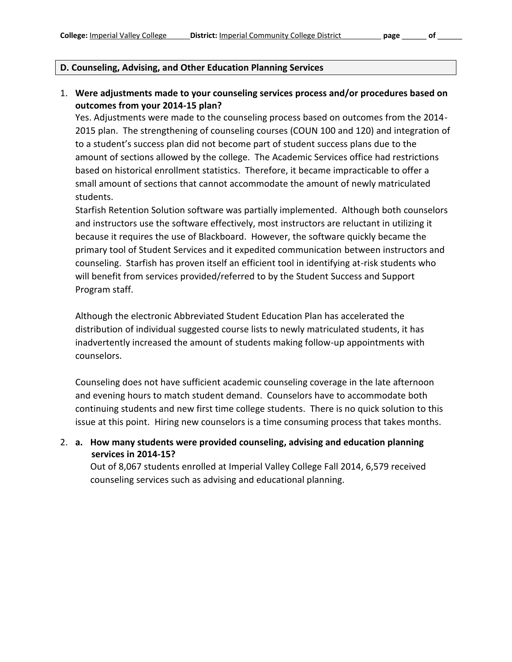#### **D. Counseling, Advising, and Other Education Planning Services**

#### 1. **Were adjustments made to your counseling services process and/or procedures based on outcomes from your 2014-15 plan?**

Yes. Adjustments were made to the counseling process based on outcomes from the 2014- 2015 plan. The strengthening of counseling courses (COUN 100 and 120) and integration of to a student's success plan did not become part of student success plans due to the amount of sections allowed by the college. The Academic Services office had restrictions based on historical enrollment statistics. Therefore, it became impracticable to offer a small amount of sections that cannot accommodate the amount of newly matriculated students.

Starfish Retention Solution software was partially implemented. Although both counselors and instructors use the software effectively, most instructors are reluctant in utilizing it because it requires the use of Blackboard. However, the software quickly became the primary tool of Student Services and it expedited communication between instructors and counseling. Starfish has proven itself an efficient tool in identifying at-risk students who will benefit from services provided/referred to by the Student Success and Support Program staff.

Although the electronic Abbreviated Student Education Plan has accelerated the distribution of individual suggested course lists to newly matriculated students, it has inadvertently increased the amount of students making follow-up appointments with counselors.

Counseling does not have sufficient academic counseling coverage in the late afternoon and evening hours to match student demand. Counselors have to accommodate both continuing students and new first time college students. There is no quick solution to this issue at this point. Hiring new counselors is a time consuming process that takes months.

2. **a. How many students were provided counseling, advising and education planning services in 2014-15?**

Out of 8,067 students enrolled at Imperial Valley College Fall 2014, 6,579 received counseling services such as advising and educational planning.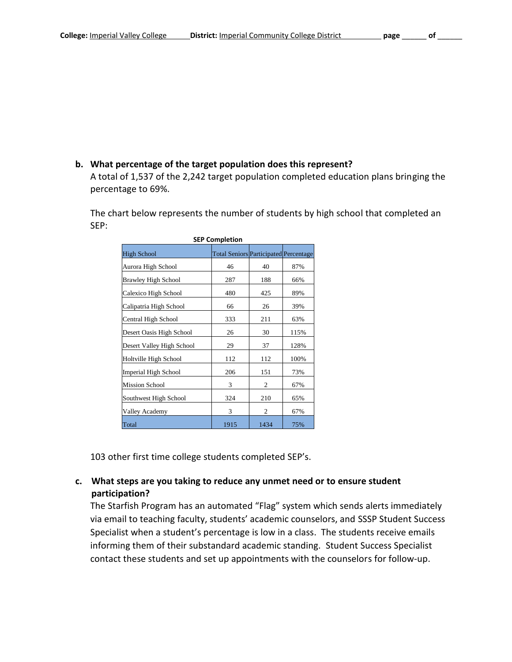#### **b. What percentage of the target population does this represent?**

A total of 1,537 of the 2,242 target population completed education plans bringing the percentage to 69%.

The chart below represents the number of students by high school that completed an SEP:

| <b>SEP Completion</b>      |                                              |      |      |
|----------------------------|----------------------------------------------|------|------|
| <b>High School</b>         | <b>Total Seniors Participated Percentage</b> |      |      |
| Aurora High School         | 46                                           | 40   | 87%  |
| <b>Brawley High School</b> | 287                                          | 188  | 66%  |
| Calexico High School       | 480                                          | 425  | 89%  |
| Calipatria High School     | 66                                           | 26   | 39%  |
| Central High School        | 333                                          | 211  | 63%  |
| Desert Oasis High School   | 26                                           | 30   | 115% |
| Desert Valley High School  | 29                                           | 37   | 128% |
| Holtville High School      | 112                                          | 112  | 100% |
| Imperial High School       | 206                                          | 151  | 73%  |
| <b>Mission School</b>      | 3                                            | 2    | 67%  |
| Southwest High School      | 324                                          | 210  | 65%  |
| Valley Academy             | 3                                            | 2    | 67%  |
| Total                      | 1915                                         | 1434 | 75%  |

103 other first time college students completed SEP's.

#### **c. What steps are you taking to reduce any unmet need or to ensure student participation?**

The Starfish Program has an automated "Flag" system which sends alerts immediately via email to teaching faculty, students' academic counselors, and SSSP Student Success Specialist when a student's percentage is low in a class. The students receive emails informing them of their substandard academic standing. Student Success Specialist contact these students and set up appointments with the counselors for follow-up.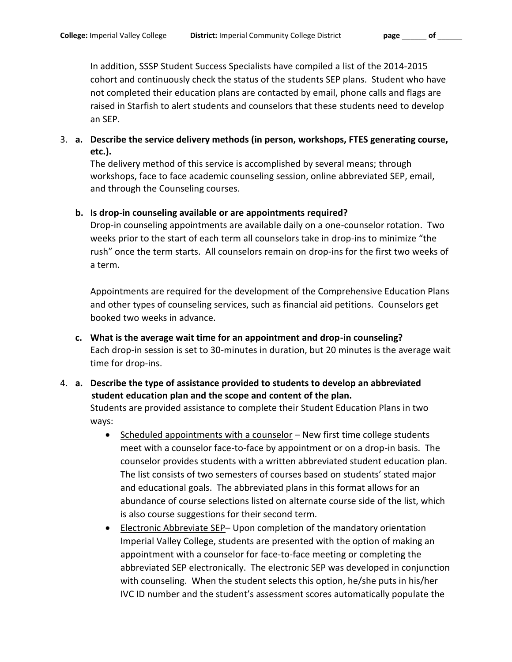In addition, SSSP Student Success Specialists have compiled a list of the 2014-2015 cohort and continuously check the status of the students SEP plans. Student who have not completed their education plans are contacted by email, phone calls and flags are raised in Starfish to alert students and counselors that these students need to develop an SEP.

## 3. **a. Describe the service delivery methods (in person, workshops, FTES generating course, etc.).**

The delivery method of this service is accomplished by several means; through workshops, face to face academic counseling session, online abbreviated SEP, email, and through the Counseling courses.

#### **b. Is drop-in counseling available or are appointments required?**

Drop-in counseling appointments are available daily on a one-counselor rotation. Two weeks prior to the start of each term all counselors take in drop-ins to minimize "the rush" once the term starts. All counselors remain on drop-ins for the first two weeks of a term.

Appointments are required for the development of the Comprehensive Education Plans and other types of counseling services, such as financial aid petitions. Counselors get booked two weeks in advance.

- **c. What is the average wait time for an appointment and drop-in counseling?** Each drop-in session is set to 30-minutes in duration, but 20 minutes is the average wait time for drop-ins.
- 4. **a. Describe the type of assistance provided to students to develop an abbreviated student education plan and the scope and content of the plan.**  Students are provided assistance to complete their Student Education Plans in two ways:
	- $\bullet$  Scheduled appointments with a counselor New first time college students meet with a counselor face-to-face by appointment or on a drop-in basis. The counselor provides students with a written abbreviated student education plan. The list consists of two semesters of courses based on students' stated major and educational goals. The abbreviated plans in this format allows for an abundance of course selections listed on alternate course side of the list, which is also course suggestions for their second term.
	- Electronic Abbreviate SEP– Upon completion of the mandatory orientation Imperial Valley College, students are presented with the option of making an appointment with a counselor for face-to-face meeting or completing the abbreviated SEP electronically. The electronic SEP was developed in conjunction with counseling. When the student selects this option, he/she puts in his/her IVC ID number and the student's assessment scores automatically populate the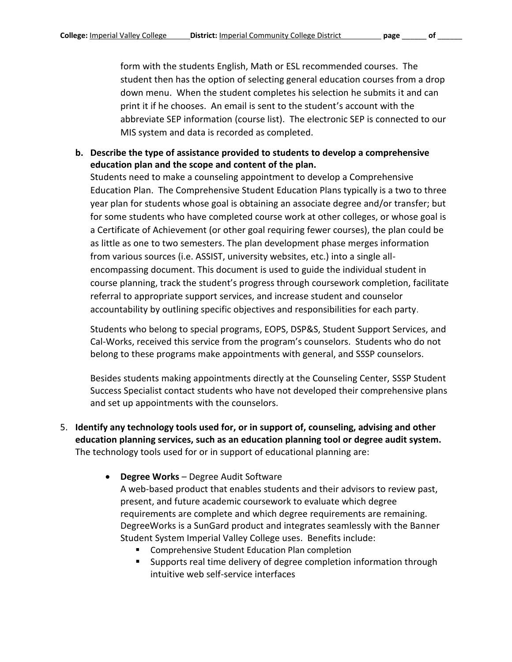form with the students English, Math or ESL recommended courses. The student then has the option of selecting general education courses from a drop down menu. When the student completes his selection he submits it and can print it if he chooses. An email is sent to the student's account with the abbreviate SEP information (course list). The electronic SEP is connected to our MIS system and data is recorded as completed.

**b. Describe the type of assistance provided to students to develop a comprehensive education plan and the scope and content of the plan.**

Students need to make a counseling appointment to develop a Comprehensive Education Plan. The Comprehensive Student Education Plans typically is a two to three year plan for students whose goal is obtaining an associate degree and/or transfer; but for some students who have completed course work at other colleges, or whose goal is a Certificate of Achievement (or other goal requiring fewer courses), the plan could be as little as one to two semesters. The plan development phase merges information from various sources (i.e. ASSIST, university websites, etc.) into a single allencompassing document. This document is used to guide the individual student in course planning, track the student's progress through coursework completion, facilitate referral to appropriate support services, and increase student and counselor accountability by outlining specific objectives and responsibilities for each party.

Students who belong to special programs, EOPS, DSP&S, Student Support Services, and Cal-Works, received this service from the program's counselors. Students who do not belong to these programs make appointments with general, and SSSP counselors.

Besides students making appointments directly at the Counseling Center, SSSP Student Success Specialist contact students who have not developed their comprehensive plans and set up appointments with the counselors.

- 5. **Identify any technology tools used for, or in support of, counseling, advising and other education planning services, such as an education planning tool or degree audit system.** The technology tools used for or in support of educational planning are:
	- **Degree Works** Degree Audit Software

A web-based product that enables students and their advisors to review past, present, and future academic coursework to evaluate which degree requirements are complete and which degree requirements are remaining. DegreeWorks is a SunGard product and integrates seamlessly with the Banner Student System Imperial Valley College uses. Benefits include:

- Comprehensive Student Education Plan completion
- Supports real time delivery of degree completion information through intuitive web self-service interfaces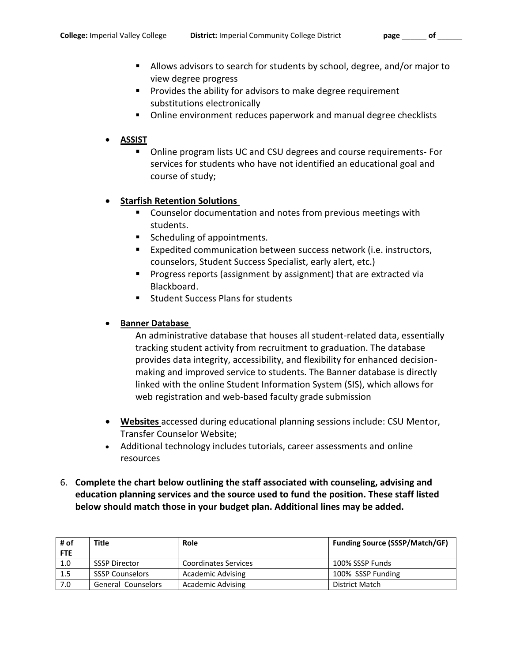- Allows advisors to search for students by school, degree, and/or major to view degree progress
- **Provides the ability for advisors to make degree requirement** substitutions electronically
- Online environment reduces paperwork and manual degree checklists

#### **ASSIST**

 Online program lists UC and CSU degrees and course requirements- For services for students who have not identified an educational goal and course of study;

#### **Starfish Retention Solutions**

- **EXTER** Counselor documentation and notes from previous meetings with students.
- Scheduling of appointments.
- Expedited communication between success network (i.e. instructors, counselors, Student Success Specialist, early alert, etc.)
- **Progress reports (assignment by assignment) that are extracted via** Blackboard.
- Student Success Plans for students

#### **Banner Database**

An administrative database that houses all student-related data, essentially tracking student activity from recruitment to graduation. The database provides data integrity, accessibility, and flexibility for enhanced decisionmaking and improved service to students. The Banner database is directly linked with the online Student Information System (SIS), which allows for web registration and web-based faculty grade submission

- **Websites** accessed during educational planning sessions include: CSU Mentor, Transfer Counselor Website;
- Additional technology includes tutorials, career assessments and online resources
- 6. **Complete the chart below outlining the staff associated with counseling, advising and education planning services and the source used to fund the position. These staff listed below should match those in your budget plan. Additional lines may be added.**

| # of       | <b>Title</b>              | <b>Role</b>              | <b>Funding Source (SSSP/Match/GF)</b> |
|------------|---------------------------|--------------------------|---------------------------------------|
| <b>FTE</b> |                           |                          |                                       |
| 1.0        | <b>SSSP Director</b>      | Coordinates Services     | 100% SSSP Funds                       |
| 1.5        | <b>SSSP Counselors</b>    | <b>Academic Advising</b> | 100% SSSP Funding                     |
| 7.0        | <b>General Counselors</b> | <b>Academic Advising</b> | District Match                        |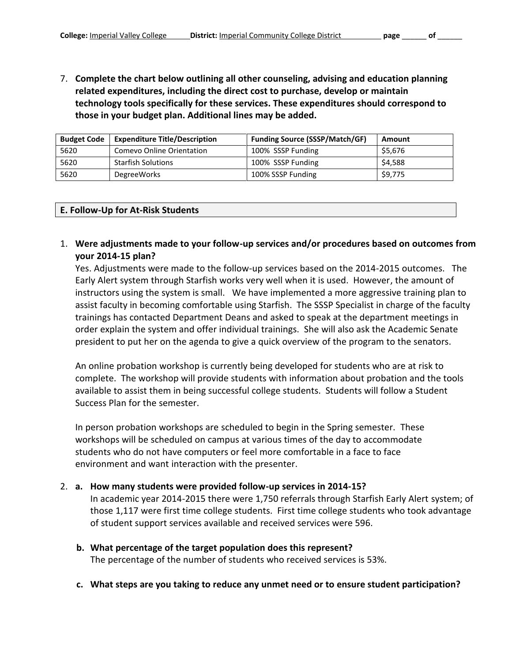7. **Complete the chart below outlining all other counseling, advising and education planning related expenditures, including the direct cost to purchase, develop or maintain technology tools specifically for these services. These expenditures should correspond to those in your budget plan. Additional lines may be added.** 

| <b>Budget Code</b> | <b>Expenditure Title/Description</b> | <b>Funding Source (SSSP/Match/GF)</b> | Amount  |
|--------------------|--------------------------------------|---------------------------------------|---------|
| 5620               | Comevo Online Orientation            | 100% SSSP Funding                     | \$5,676 |
| 5620               | <b>Starfish Solutions</b>            | 100% SSSP Funding                     | \$4,588 |
| 5620               | <b>DegreeWorks</b>                   | 100% SSSP Funding                     | \$9,775 |

#### **E. Follow-Up for At-Risk Students**

1. **Were adjustments made to your follow-up services and/or procedures based on outcomes from your 2014-15 plan?**

Yes. Adjustments were made to the follow-up services based on the 2014-2015 outcomes. The Early Alert system through Starfish works very well when it is used. However, the amount of instructors using the system is small. We have implemented a more aggressive training plan to assist faculty in becoming comfortable using Starfish. The SSSP Specialist in charge of the faculty trainings has contacted Department Deans and asked to speak at the department meetings in order explain the system and offer individual trainings. She will also ask the Academic Senate president to put her on the agenda to give a quick overview of the program to the senators.

An online probation workshop is currently being developed for students who are at risk to complete. The workshop will provide students with information about probation and the tools available to assist them in being successful college students. Students will follow a Student Success Plan for the semester.

In person probation workshops are scheduled to begin in the Spring semester. These workshops will be scheduled on campus at various times of the day to accommodate students who do not have computers or feel more comfortable in a face to face environment and want interaction with the presenter.

#### 2. **a. How many students were provided follow-up services in 2014-15?**

In academic year 2014-2015 there were 1,750 referrals through Starfish Early Alert system; of those 1,117 were first time college students. First time college students who took advantage of student support services available and received services were 596.

- **b. What percentage of the target population does this represent?**  The percentage of the number of students who received services is 53%.
- **c. What steps are you taking to reduce any unmet need or to ensure student participation?**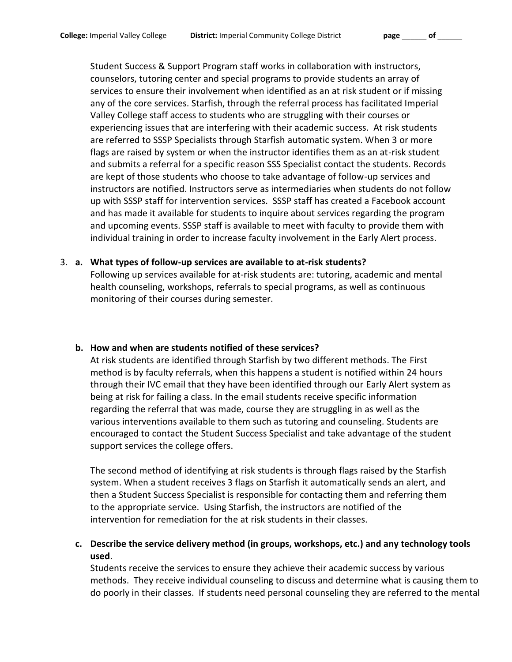Student Success & Support Program staff works in collaboration with instructors, counselors, tutoring center and special programs to provide students an array of services to ensure their involvement when identified as an at risk student or if missing any of the core services. Starfish, through the referral process has facilitated Imperial Valley College staff access to students who are struggling with their courses or experiencing issues that are interfering with their academic success. At risk students are referred to SSSP Specialists through Starfish automatic system. When 3 or more flags are raised by system or when the instructor identifies them as an at-risk student and submits a referral for a specific reason SSS Specialist contact the students. Records are kept of those students who choose to take advantage of follow-up services and instructors are notified. Instructors serve as intermediaries when students do not follow up with SSSP staff for intervention services. SSSP staff has created a Facebook account and has made it available for students to inquire about services regarding the program and upcoming events. SSSP staff is available to meet with faculty to provide them with individual training in order to increase faculty involvement in the Early Alert process.

#### 3. **a. What types of follow-up services are available to at-risk students?**

Following up services available for at-risk students are: tutoring, academic and mental health counseling, workshops, referrals to special programs, as well as continuous monitoring of their courses during semester.

#### **b. How and when are students notified of these services?**

At risk students are identified through Starfish by two different methods. The First method is by faculty referrals, when this happens a student is notified within 24 hours through their IVC email that they have been identified through our Early Alert system as being at risk for failing a class. In the email students receive specific information regarding the referral that was made, course they are struggling in as well as the various interventions available to them such as tutoring and counseling. Students are encouraged to contact the Student Success Specialist and take advantage of the student support services the college offers.

The second method of identifying at risk students is through flags raised by the Starfish system. When a student receives 3 flags on Starfish it automatically sends an alert, and then a Student Success Specialist is responsible for contacting them and referring them to the appropriate service. Using Starfish, the instructors are notified of the intervention for remediation for the at risk students in their classes.

### **c. Describe the service delivery method (in groups, workshops, etc.) and any technology tools used**.

Students receive the services to ensure they achieve their academic success by various methods. They receive individual counseling to discuss and determine what is causing them to do poorly in their classes. If students need personal counseling they are referred to the mental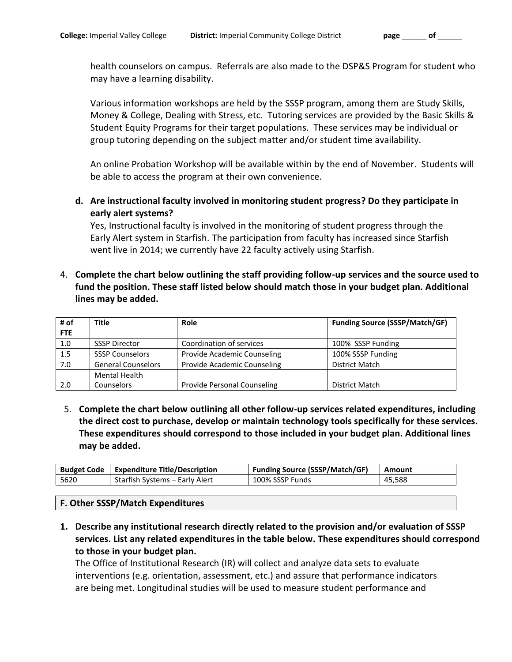health counselors on campus. Referrals are also made to the DSP&S Program for student who may have a learning disability.

Various information workshops are held by the SSSP program, among them are Study Skills, Money & College, Dealing with Stress, etc. Tutoring services are provided by the Basic Skills & Student Equity Programs for their target populations. These services may be individual or group tutoring depending on the subject matter and/or student time availability.

An online Probation Workshop will be available within by the end of November. Students will be able to access the program at their own convenience.

**d. Are instructional faculty involved in monitoring student progress? Do they participate in early alert systems?**

Yes, Instructional faculty is involved in the monitoring of student progress through the Early Alert system in Starfish. The participation from faculty has increased since Starfish went live in 2014; we currently have 22 faculty actively using Starfish.

4. **Complete the chart below outlining the staff providing follow-up services and the source used to fund the position. These staff listed below should match those in your budget plan. Additional lines may be added.**

| # of | <b>Title</b>              | <b>Role</b>                 | <b>Funding Source (SSSP/Match/GF)</b> |
|------|---------------------------|-----------------------------|---------------------------------------|
| FTE  |                           |                             |                                       |
| 1.0  | <b>SSSP Director</b>      | Coordination of services    | 100% SSSP Funding                     |
| 1.5  | <b>SSSP Counselors</b>    | Provide Academic Counseling | 100% SSSP Funding                     |
| 7.0  | <b>General Counselors</b> | Provide Academic Counseling | <b>District Match</b>                 |
|      | <b>Mental Health</b>      |                             |                                       |
| 2.0  | Counselors                | Provide Personal Counseling | District Match                        |

5. **Complete the chart below outlining all other follow-up services related expenditures, including the direct cost to purchase, develop or maintain technology tools specifically for these services. These expenditures should correspond to those included in your budget plan. Additional lines may be added.**

| <b>Budget Code</b> | <b>Expenditure Title/Description</b> | <b>Funding Source (SSSP/Match/GF)</b> | Amount |
|--------------------|--------------------------------------|---------------------------------------|--------|
| 5620               | Starfish Systems – Early Alert       | 100% SSSP Funds                       | 45.588 |

#### **F. Other SSSP/Match Expenditures**

**1. Describe any institutional research directly related to the provision and/or evaluation of SSSP services. List any related expenditures in the table below. These expenditures should correspond to those in your budget plan.**

The Office of Institutional Research (IR) will collect and analyze data sets to evaluate interventions (e.g. orientation, assessment, etc.) and assure that performance indicators are being met. Longitudinal studies will be used to measure student performance and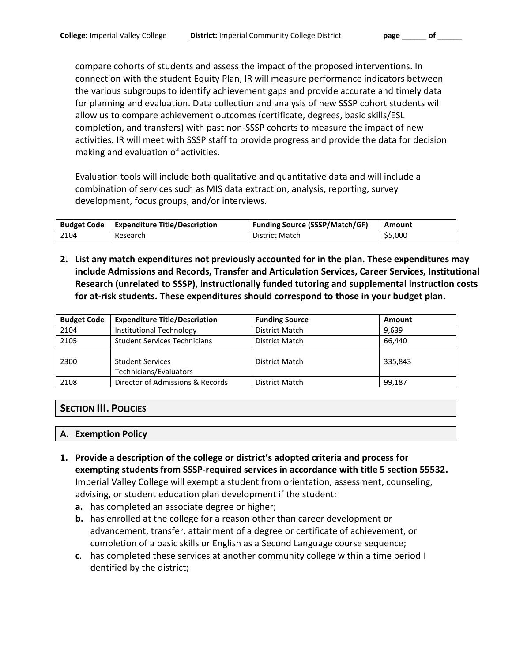compare cohorts of students and assess the impact of the proposed interventions. In connection with the student Equity Plan, IR will measure performance indicators between the various subgroups to identify achievement gaps and provide accurate and timely data for planning and evaluation. Data collection and analysis of new SSSP cohort students will allow us to compare achievement outcomes (certificate, degrees, basic skills/ESL completion, and transfers) with past non-SSSP cohorts to measure the impact of new activities. IR will meet with SSSP staff to provide progress and provide the data for decision making and evaluation of activities.

Evaluation tools will include both qualitative and quantitative data and will include a combination of services such as MIS data extraction, analysis, reporting, survey development, focus groups, and/or interviews.

| <b>Budget Code</b> | <b>Expenditure Title/Description</b> | <b>Funding Source (SSSP/Match/GF)</b> | Amount  |
|--------------------|--------------------------------------|---------------------------------------|---------|
| 2104               | Research                             | <b>District Match</b>                 | \$5.000 |

**2. List any match expenditures not previously accounted for in the plan. These expenditures may include Admissions and Records, Transfer and Articulation Services, Career Services, Institutional Research (unrelated to SSSP), instructionally funded tutoring and supplemental instruction costs for at-risk students. These expenditures should correspond to those in your budget plan.**

| <b>Budget Code</b> | <b>Expenditure Title/Description</b>              | <b>Funding Source</b> | Amount  |
|--------------------|---------------------------------------------------|-----------------------|---------|
| 2104               | Institutional Technology                          | District Match        | 9.639   |
| 2105               | <b>Student Services Technicians</b>               | District Match        | 66.440  |
| 2300               | <b>Student Services</b><br>Technicians/Evaluators | District Match        | 335,843 |
| 2108               | Director of Admissions & Records                  | <b>District Match</b> | 99,187  |

### **SECTION III. POLICIES**

#### **A. Exemption Policy**

- **1. Provide a description of the college or district's adopted criteria and process for exempting students from SSSP-required services in accordance with title 5 section 55532.** Imperial Valley College will exempt a student from orientation, assessment, counseling, advising, or student education plan development if the student:
	- **a.** has completed an associate degree or higher;
	- **b.** has enrolled at the college for a reason other than career development or advancement, transfer, attainment of a degree or certificate of achievement, or completion of a basic skills or English as a Second Language course sequence;
	- **c**. has completed these services at another community college within a time period I dentified by the district;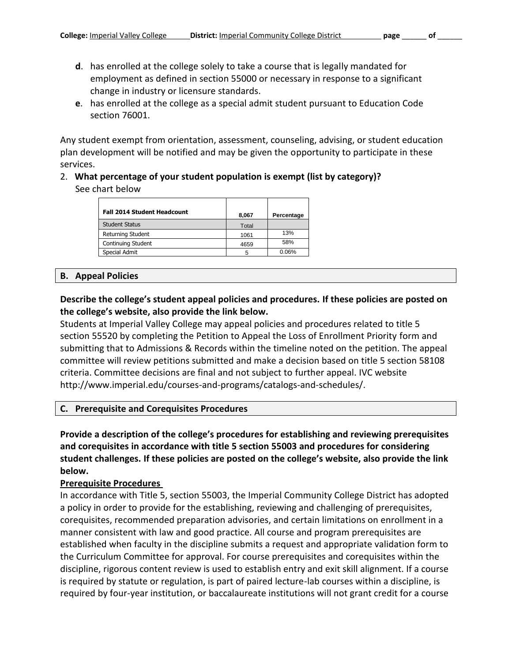- **d**. has enrolled at the college solely to take a course that is legally mandated for employment as defined in section 55000 or necessary in response to a significant change in industry or licensure standards.
- **e**. has enrolled at the college as a special admit student pursuant to Education Code section 76001.

Any student exempt from orientation, assessment, counseling, advising, or student education plan development will be notified and may be given the opportunity to participate in these services.

#### 2. **What percentage of your student population is exempt (list by category)?** See chart below

| <b>Fall 2014 Student Headcount</b> | 8,067 | Percentage |
|------------------------------------|-------|------------|
| <b>Student Status</b>              | Total |            |
| Returning Student                  | 1061  | 13%        |
| Continuing Student                 | 4659  | 58%        |
| Special Admit                      |       | 0.06%      |

#### **B. Appeal Policies**

#### **Describe the college's student appeal policies and procedures. If these policies are posted on the college's website, also provide the link below.**

Students at Imperial Valley College may appeal policies and procedures related to title 5 section 55520 by completing the Petition to Appeal the Loss of Enrollment Priority form and submitting that to Admissions & Records within the timeline noted on the petition. The appeal committee will review petitions submitted and make a decision based on title 5 section 58108 criteria. Committee decisions are final and not subject to further appeal. IVC website http://www.imperial.edu/courses-and-programs/catalogs-and-schedules/.

#### **C. Prerequisite and Corequisites Procedures**

**Provide a description of the college's procedures for establishing and reviewing prerequisites and corequisites in accordance with title 5 section 55003 and procedures for considering student challenges. If these policies are posted on the college's website, also provide the link below.**

#### **Prerequisite Procedures**

In accordance with Title 5, section 55003, the Imperial Community College District has adopted a policy in order to provide for the establishing, reviewing and challenging of prerequisites, corequisites, recommended preparation advisories, and certain limitations on enrollment in a manner consistent with law and good practice. All course and program prerequisites are established when faculty in the discipline submits a request and appropriate validation form to the Curriculum Committee for approval. For course prerequisites and corequisites within the discipline, rigorous content review is used to establish entry and exit skill alignment. If a course is required by statute or regulation, is part of paired lecture-lab courses within a discipline, is required by four-year institution, or baccalaureate institutions will not grant credit for a course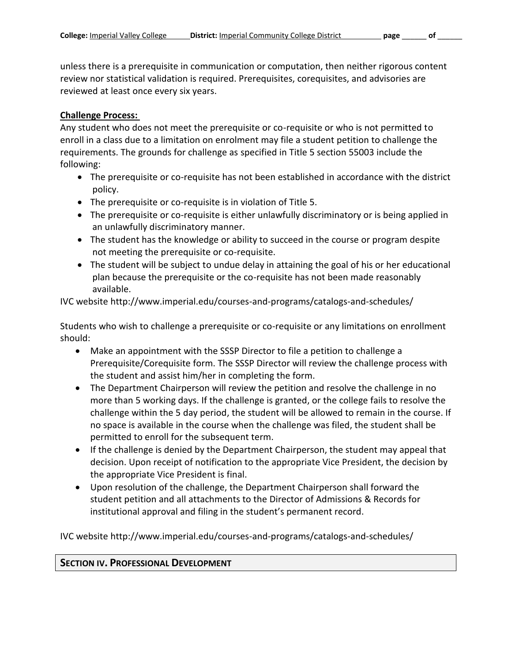unless there is a prerequisite in communication or computation, then neither rigorous content review nor statistical validation is required. Prerequisites, corequisites, and advisories are reviewed at least once every six years.

#### **Challenge Process:**

Any student who does not meet the prerequisite or co-requisite or who is not permitted to enroll in a class due to a limitation on enrolment may file a student petition to challenge the requirements. The grounds for challenge as specified in Title 5 section 55003 include the following:

- The prerequisite or co-requisite has not been established in accordance with the district policy.
- The prerequisite or co-requisite is in violation of Title 5.
- The prerequisite or co-requisite is either unlawfully discriminatory or is being applied in an unlawfully discriminatory manner.
- The student has the knowledge or ability to succeed in the course or program despite not meeting the prerequisite or co-requisite.
- The student will be subject to undue delay in attaining the goal of his or her educational plan because the prerequisite or the co-requisite has not been made reasonably available.

IVC website http://www.imperial.edu/courses-and-programs/catalogs-and-schedules/

Students who wish to challenge a prerequisite or co-requisite or any limitations on enrollment should:

- Make an appointment with the SSSP Director to file a petition to challenge a Prerequisite/Corequisite form. The SSSP Director will review the challenge process with the student and assist him/her in completing the form.
- The Department Chairperson will review the petition and resolve the challenge in no more than 5 working days. If the challenge is granted, or the college fails to resolve the challenge within the 5 day period, the student will be allowed to remain in the course. If no space is available in the course when the challenge was filed, the student shall be permitted to enroll for the subsequent term.
- If the challenge is denied by the Department Chairperson, the student may appeal that decision. Upon receipt of notification to the appropriate Vice President, the decision by the appropriate Vice President is final.
- Upon resolution of the challenge, the Department Chairperson shall forward the student petition and all attachments to the Director of Admissions & Records for institutional approval and filing in the student's permanent record.

IVC website http://www.imperial.edu/courses-and-programs/catalogs-and-schedules/

### **SECTION IV. PROFESSIONAL DEVELOPMENT**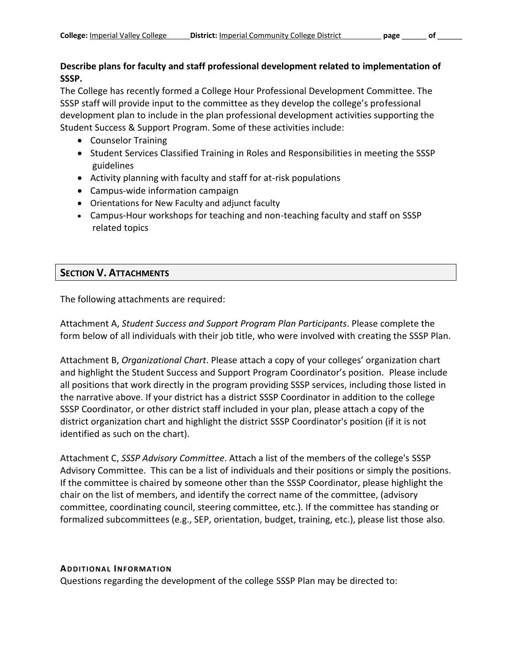## **Describe plans for faculty and staff professional development related to implementation of SSSP.**

The College has recently formed a College Hour Professional Development Committee. The SSSP staff will provide input to the committee as they develop the college's professional development plan to include in the plan professional development activities supporting the Student Success & Support Program. Some of these activities include:

- Counselor Training
- Student Services Classified Training in Roles and Responsibilities in meeting the SSSP guidelines
- Activity planning with faculty and staff for at-risk populations
- Campus-wide information campaign
- Orientations for New Faculty and adjunct faculty
- Campus-Hour workshops for teaching and non-teaching faculty and staff on SSSP related topics

# **SECTION V. ATTACHMENTS**

The following attachments are required:

Attachment A, *Student Success and Support Program Plan Participants*. Please complete the form below of all individuals with their job title, who were involved with creating the SSSP Plan.

Attachment B, *Organizational Chart*. Please attach a copy of your colleges' organization chart and highlight the Student Success and Support Program Coordinator's position. Please include all positions that work directly in the program providing SSSP services, including those listed in the narrative above. If your district has a district SSSP Coordinator in addition to the college SSSP Coordinator, or other district staff included in your plan, please attach a copy of the district organization chart and highlight the district SSSP Coordinator's position (if it is not identified as such on the chart).

Attachment C, *SSSP Advisory Committee*. Attach a list of the members of the college's SSSP Advisory Committee. This can be a list of individuals and their positions or simply the positions. If the committee is chaired by someone other than the SSSP Coordinator, please highlight the chair on the list of members, and identify the correct name of the committee, (advisory committee, coordinating council, steering committee, etc.). If the committee has standing or formalized subcommittees (e.g., SEP, orientation, budget, training, etc.), please list those also.

#### **ADDITIONAL INFORMATION**

Questions regarding the development of the college SSSP Plan may be directed to: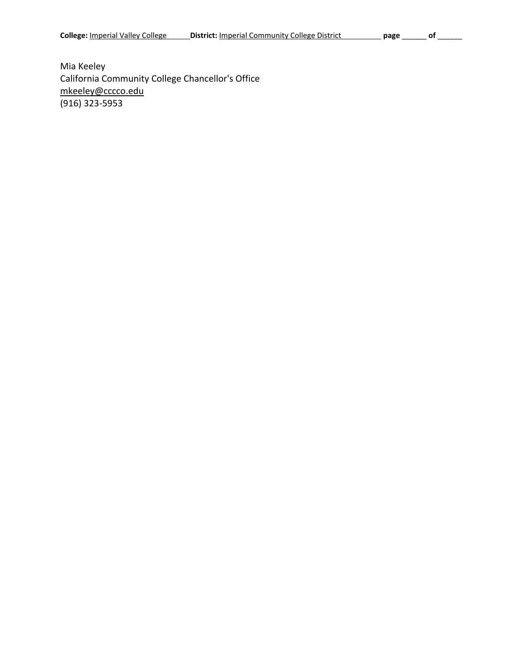Mia Keeley California Community College Chancellor's Office [mkeeley@cccco.edu](mailto:mkeeley@cccco.edu) (916) 323-5953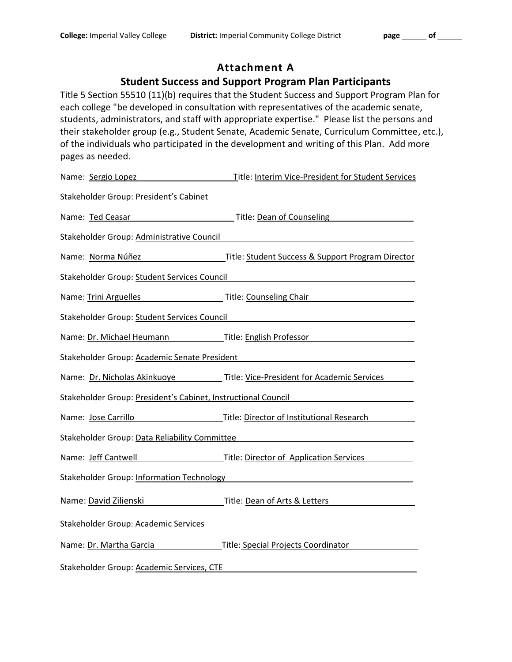# **Attachment A**

# **Student Success and Support Program Plan Participants**

Title 5 Section 55510 (11)(b) requires that the Student Success and Support Program Plan for each college "be developed in consultation with representatives of the academic senate, students, administrators, and staff with appropriate expertise." Please list the persons and their stakeholder group (e.g., Student Senate, Academic Senate, Curriculum Committee, etc.), of the individuals who participated in the development and writing of this Plan. Add more pages as needed.

| Name: Sergio Lopez                        | Title: Interim Vice-President for Student Services                                                                                                                                                                             |
|-------------------------------------------|--------------------------------------------------------------------------------------------------------------------------------------------------------------------------------------------------------------------------------|
| Stakeholder Group: President's Cabinet    |                                                                                                                                                                                                                                |
|                                           | Name: Ted Ceasar Title: Dean of Counseling                                                                                                                                                                                     |
| Stakeholder Group: Administrative Council | <u> 1989 - Johann Stoff, deutscher Stoffen und der Stoffen und der Stoffen und der Stoffen und der Stoffen und de</u>                                                                                                          |
|                                           |                                                                                                                                                                                                                                |
|                                           | Stakeholder Group: Student Services Council National Communications of the Council Council of the Council Council                                                                                                              |
|                                           | Name: Trini Arguelles Title: Counseling Chair                                                                                                                                                                                  |
|                                           | Stakeholder Group: Student Services Council Manual Communication of the Stakeholder Group: Student Services Council                                                                                                            |
|                                           | Name: Dr. Michael Heumann Title: English Professor                                                                                                                                                                             |
|                                           | Stakeholder Group: Academic Senate President National Communications of the Communication of the Communication                                                                                                                 |
|                                           | Name: Dr. Nicholas Akinkuoye Title: Vice-President for Academic Services                                                                                                                                                       |
|                                           | Stakeholder Group: President's Cabinet, Instructional Council Commercity Control of the State Council                                                                                                                          |
| Name: Jose Carrillo                       | Title: Director of Institutional Research <b>Exercise Contracts</b>                                                                                                                                                            |
|                                           | Stakeholder Group: Data Reliability Committee Manual Accords According to the According Stakeholder Group: 0                                                                                                                   |
|                                           |                                                                                                                                                                                                                                |
|                                           | Stakeholder Group: Information Technology example and the control of the control of the control of the control of the control of the control of the control of the control of the control of the control of the control of the |
|                                           | Name: David Zilienski Martin Little: Dean of Arts & Letters                                                                                                                                                                    |
| Stakeholder Group: Academic Services      |                                                                                                                                                                                                                                |
| Name: Dr. Martha Garcia                   | Title: Special Projects Coordinator                                                                                                                                                                                            |
| Stakeholder Group: Academic Services, CTE |                                                                                                                                                                                                                                |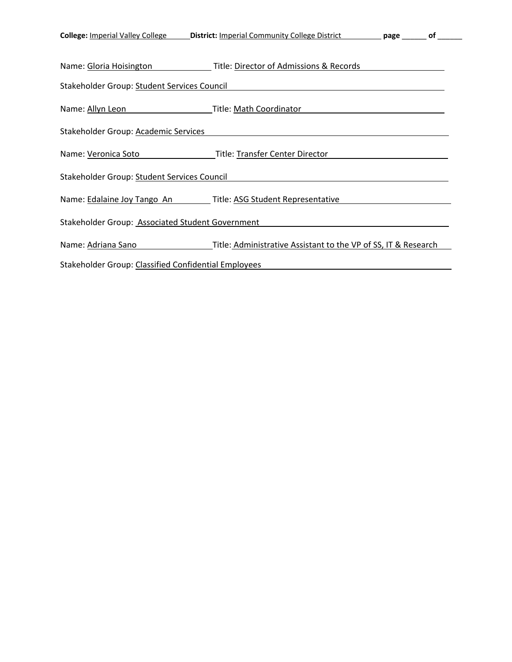| <b>College: Imperial Valley College</b> | <b>District: Imperial Community College District</b> |
|-----------------------------------------|------------------------------------------------------|
|-----------------------------------------|------------------------------------------------------|

| Name: Gloria Hoisington                                       | Title: Director of Admissions & Records                        |  |
|---------------------------------------------------------------|----------------------------------------------------------------|--|
| Stakeholder Group: Student Services Council                   |                                                                |  |
| Name: Allyn Leon                                              | Title: Math Coordinator                                        |  |
| Stakeholder Group: Academic Services                          |                                                                |  |
| Name: Veronica Soto                                           | Title: Transfer Center Director                                |  |
| Stakeholder Group: Student Services Council                   |                                                                |  |
| Name: Edalaine Joy Tango An Title: ASG Student Representative |                                                                |  |
| Stakeholder Group: Associated Student Government              |                                                                |  |
| Name: Adriana Sano                                            | Title: Administrative Assistant to the VP of SS, IT & Research |  |
| Stakeholder Group: Classified Confidential Employees          |                                                                |  |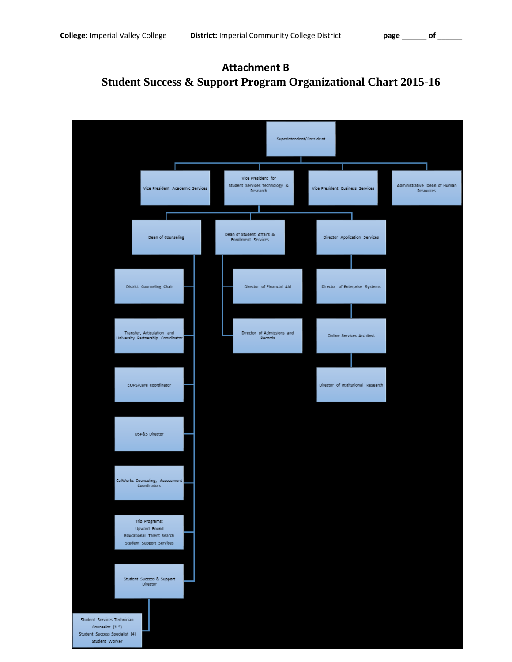